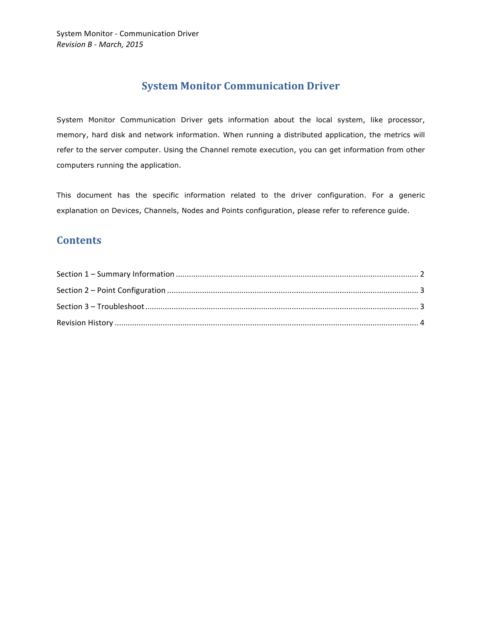## **System Monitor Communication Driver**

System Monitor Communication Driver gets information about the local system, like processor, memory, hard disk and network information. When running a distributed application, the metrics will refer to the server computer. Using the Channel remote execution, you can get information from other computers running the application.

This document has the specific information related to the driver configuration. For a generic explanation on Devices, Channels, Nodes and Points configuration, please refer to reference guide.

### **Contents**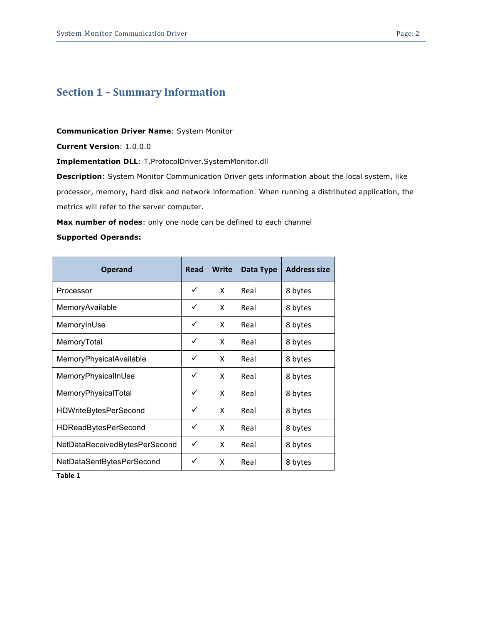# **Section 1 - Summary Information**

**Communication Driver Name**: System Monitor

**Current Version**: 1.0.0.0

**Implementation DLL**: T.ProtocolDriver.SystemMonitor.dll

**Description**: System Monitor Communication Driver gets information about the local system, like processor, memory, hard disk and network information. When running a distributed application, the metrics will refer to the server computer.

**Max number of nodes**: only one node can be defined to each channel

#### **Supported Operands:**

| <b>Operand</b>                | <b>Read</b> | <b>Write</b> | Data Type | <b>Address size</b> |
|-------------------------------|-------------|--------------|-----------|---------------------|
| Processor                     | ✓           | X            | Real      | 8 bytes             |
| MemoryAvailable               | ✓           | X            | Real      | 8 bytes             |
| MemoryInUse                   | ✓           | X            | Real      | 8 bytes             |
| MemoryTotal                   | ✓           | X            | Real      | 8 bytes             |
| MemoryPhysicalAvailable       | ✓           | X            | Real      | 8 bytes             |
| MemoryPhysicalInUse           | ✓           | X            | Real      | 8 bytes             |
| MemoryPhysicalTotal           | ✓           | X            | Real      | 8 bytes             |
| <b>HDWriteBytesPerSecond</b>  | ✓           | X            | Real      | 8 bytes             |
| <b>HDReadBytesPerSecond</b>   | ✓           | X            | Real      | 8 bytes             |
| NetDataReceivedBytesPerSecond | ✓           | X            | Real      | 8 bytes             |
| NetDataSentBytesPerSecond     | ✓           | X            | Real      | 8 bytes             |

**Table 1**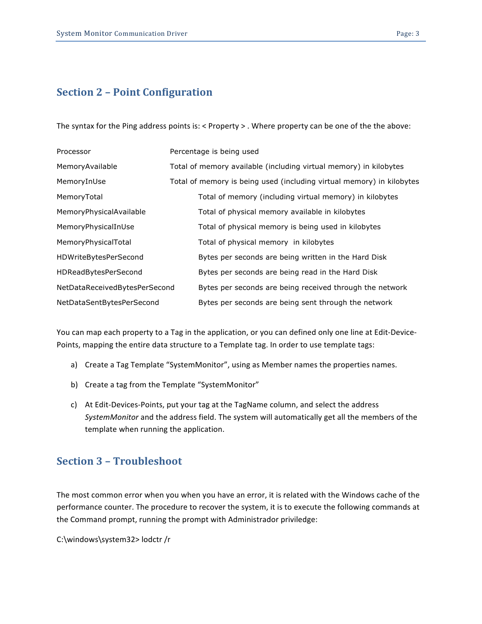# **Section 2 – Point Configuration**

The syntax for the Ping address points is: < Property > . Where property can be one of the the above:

| Processor                     | Percentage is being used                                              |  |  |
|-------------------------------|-----------------------------------------------------------------------|--|--|
| MemoryAvailable               | Total of memory available (including virtual memory) in kilobytes     |  |  |
| MemoryInUse                   | Total of memory is being used (including virtual memory) in kilobytes |  |  |
| MemoryTotal                   | Total of memory (including virtual memory) in kilobytes               |  |  |
| MemoryPhysicalAvailable       | Total of physical memory available in kilobytes                       |  |  |
| MemoryPhysicalInUse           | Total of physical memory is being used in kilobytes                   |  |  |
| MemoryPhysicalTotal           | Total of physical memory in kilobytes                                 |  |  |
| HDWriteBytesPerSecond         | Bytes per seconds are being written in the Hard Disk                  |  |  |
| <b>HDReadBytesPerSecond</b>   | Bytes per seconds are being read in the Hard Disk                     |  |  |
| NetDataReceivedBytesPerSecond | Bytes per seconds are being received through the network              |  |  |
| NetDataSentBytesPerSecond     | Bytes per seconds are being sent through the network                  |  |  |

You can map each property to a Tag in the application, or you can defined only one line at Edit-Device-Points, mapping the entire data structure to a Template tag. In order to use template tags:

- a) Create a Tag Template "SystemMonitor", using as Member names the properties names.
- b) Create a tag from the Template "SystemMonitor"
- c) At Edit-Devices-Points, put your tag at the TagName column, and select the address SystemMonitor and the address field. The system will automatically get all the members of the template when running the application.

# **Section 3 – Troubleshoot**

The most common error when you when you have an error, it is related with the Windows cache of the performance counter. The procedure to recover the system, it is to execute the following commands at the Command prompt, running the prompt with Administrador priviledge:

C:\windows\system32> lodctr /r